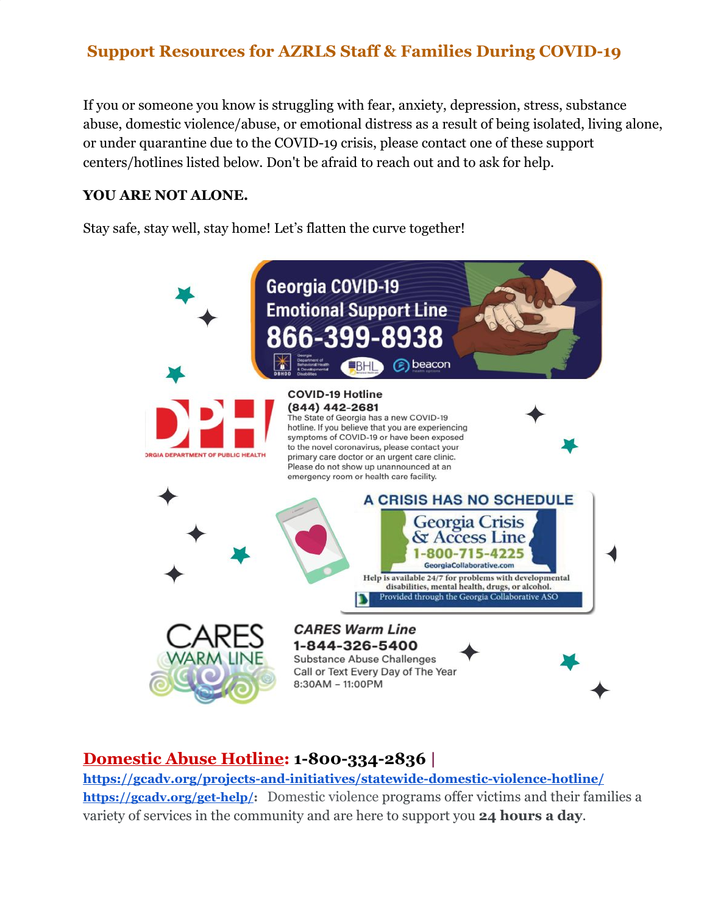If you or someone you know is struggling with fear, anxiety, depression, stress, substance abuse, domestic violence/abuse, or emotional distress as a result of being isolated, living alone, or under quarantine due to the COVID-19 crisis, please contact one of these support centers/hotlines listed below. Don't be afraid to reach out and to ask for help.

#### **YOU ARE NOT ALONE.**

Stay safe, stay well, stay home! Let's flatten the curve together!



### **Domestic Abuse Hotline: 1-800-334-2836 |**

**<https://gcadv.org/projects-and-initiatives/statewide-domestic-violence-hotline/> [https://gcadv.org/get-help/:](https://gcadv.org/get-help/)** Domestic violence programs offer victims and their families a variety of services in the community and are here to support you **24 hours a day**.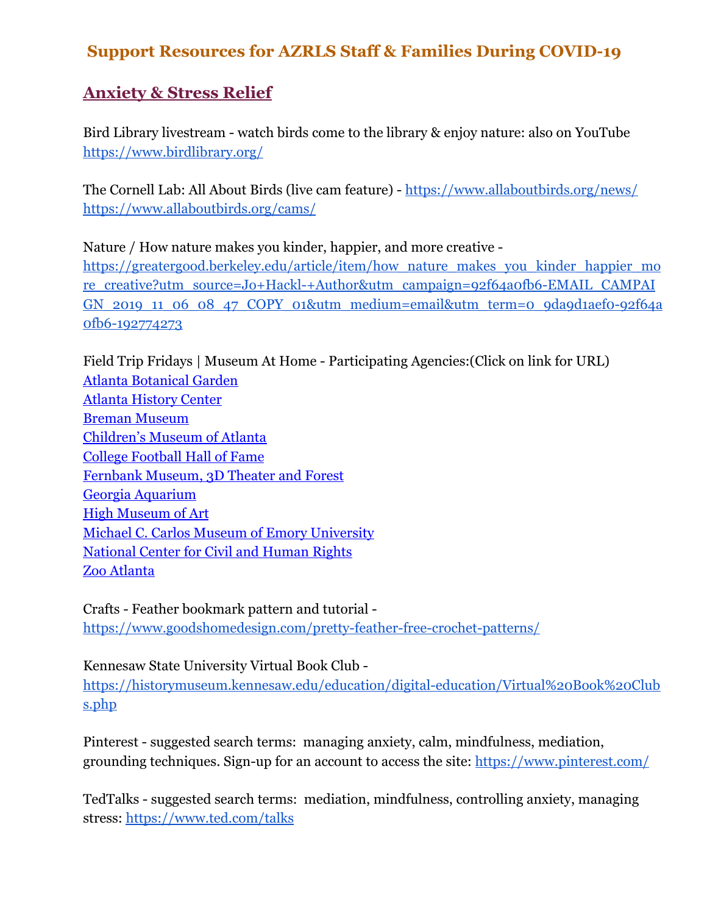# **Anxiety & Stress Relief**

Bird Library livestream - watch birds come to the library & enjoy nature: also on YouTube <https://www.birdlibrary.org/>

The Cornell Lab: All About Birds (live cam feature) - <https://www.allaboutbirds.org/news/> <https://www.allaboutbirds.org/cams/>

Nature / How nature makes you kinder, happier, and more creative [https://greatergood.berkeley.edu/article/item/how\\_nature\\_makes\\_you\\_kinder\\_happier\\_mo](https://greatergood.berkeley.edu/article/item/how_nature_makes_you_kinder_happier_more_creative?utm_source=Jo+Hackl-+Author&utm_campaign=92f64a0fb6-EMAIL_CAMPAIGN_2019_11_06_08_47_COPY_01&utm_medium=email&utm_term=0_9da9d1aef0-92f64a0fb6-192774273) [re\\_creative?utm\\_source=Jo+Hackl-+Author&utm\\_campaign=92f64a0fb6-EMAIL\\_CAMPAI](https://greatergood.berkeley.edu/article/item/how_nature_makes_you_kinder_happier_more_creative?utm_source=Jo+Hackl-+Author&utm_campaign=92f64a0fb6-EMAIL_CAMPAIGN_2019_11_06_08_47_COPY_01&utm_medium=email&utm_term=0_9da9d1aef0-92f64a0fb6-192774273) GN 2019 11\_06\_08\_47\_COPY\_01&utm\_medium=email&utm\_term=0\_9da9d1aef0-92f64a [0fb6-192774273](https://greatergood.berkeley.edu/article/item/how_nature_makes_you_kinder_happier_more_creative?utm_source=Jo+Hackl-+Author&utm_campaign=92f64a0fb6-EMAIL_CAMPAIGN_2019_11_06_08_47_COPY_01&utm_medium=email&utm_term=0_9da9d1aef0-92f64a0fb6-192774273)

Field Trip Fridays | Museum At Home - Participating Agencies:(Click on link for URL) [Atlanta Botanical Garden](https://t.e2ma.net/click/m6ilof/esmo3y/26lshab) [Atlanta History Center](https://t.e2ma.net/click/m6ilof/esmo3y/izmshab) [Breman Museum](https://t.e2ma.net/click/m6ilof/esmo3y/yrnshab) [Children's Museum of Atlanta](https://t.e2ma.net/click/m6ilof/esmo3y/ekoshab) [College Football Hall of Fame](https://t.e2ma.net/click/m6ilof/esmo3y/ucpshab) [Fernbank Museum, 3D Theater and Forest](https://t.e2ma.net/click/m6ilof/esmo3y/a5pshab) [Georgia Aquarium](https://t.e2ma.net/click/m6ilof/esmo3y/qxqshab) [High Museum of Art](https://t.e2ma.net/click/m6ilof/esmo3y/6prshab) [Michael C. Carlos Museum of Emory University](https://t.e2ma.net/click/m6ilof/esmo3y/misshab) [National Center for Civil and Human Rights](https://t.e2ma.net/click/m6ilof/esmo3y/2atshab) [Zoo Atlanta](https://t.e2ma.net/click/m6ilof/esmo3y/i3tshab)

Crafts - Feather bookmark pattern and tutorial <https://www.goodshomedesign.com/pretty-feather-free-crochet-patterns/>

Kennesaw State University Virtual Book Club -

[https://historymuseum.kennesaw.edu/education/digital-education/Virtual%20Book%20Club](https://historymuseum.kennesaw.edu/education/digital-education/Virtual%20Book%20Clubs.php) [s.php](https://historymuseum.kennesaw.edu/education/digital-education/Virtual%20Book%20Clubs.php)

Pinterest - suggested search terms: managing anxiety, calm, mindfulness, mediation, grounding techniques. Sign-up for an account to access the site: <https://www.pinterest.com/>

TedTalks - suggested search terms: mediation, mindfulness, controlling anxiety, managing stress:<https://www.ted.com/talks>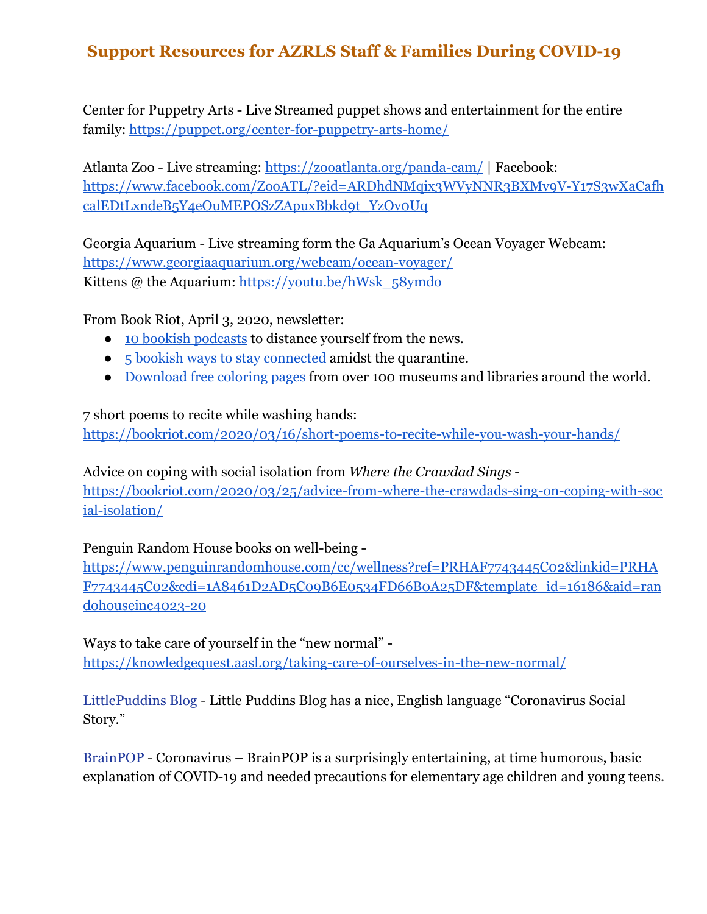Center for Puppetry Arts - Live Streamed puppet shows and entertainment for the entire family: <https://puppet.org/center-for-puppetry-arts-home/>

Atlanta Zoo - Live streaming: <https://zooatlanta.org/panda-cam/> | Facebook: [https://www.facebook.com/ZooATL/?eid=ARDhdNMqix3WVyNNR3BXMv9V-Y17S3wXaCafh](https://www.facebook.com/ZooATL/?eid=ARDhdNMqix3WVyNNR3BXMv9V-Y17S3wXaCafhcalEDtLxndeB5Y4eOuMEPOSzZApuxBbkd9t_YzOv0Uq) [calEDtLxndeB5Y4eOuMEPOSzZApuxBbkd9t\\_YzOv0Uq](https://www.facebook.com/ZooATL/?eid=ARDhdNMqix3WVyNNR3BXMv9V-Y17S3wXaCafhcalEDtLxndeB5Y4eOuMEPOSzZApuxBbkd9t_YzOv0Uq)

Georgia Aquarium - Live streaming form the Ga Aquarium's Ocean Voyager Webcam: <https://www.georgiaaquarium.org/webcam/ocean-voyager/> Kittens @ the Aquarium: https://youtu.be/hWsk\_58ymdo

From Book Riot, April 3, 2020, newsletter:

- [10 bookish podcasts](https://link.bookriot.com/click/19914115.2489/aHR0cHM6Ly9ib29rcmlvdC5jb20vMjAyMC8wMy8zMC9saXRlcmFyeS1wb2RjYXN0cy1mb3Itc3RyZXNzLXJlbGllZi8/56c263d1487ccdf04e8b5f8cB91c8471d) to distance yourself from the news.
- [5 bookish ways to stay connected](https://link.bookriot.com/click/19914115.2489/aHR0cHM6Ly9ib29rcmlvdC5jb20vMjAyMC8wMy8yNy9zdGF5LWNvbm5lY3RlZC1hbWlkc3QtcXVhcmFudGluZS8/56c263d1487ccdf04e8b5f8cB682979b4) amidst the quarantine.
- [Download free coloring pages](https://link.bookriot.com/click/19914115.2489/aHR0cHM6Ly9ib29rcmlvdC5jb20vMjAyMC8wMy8yNy9mcmVlLWNvbG9yaW5nLXBhZ2VzLw/56c263d1487ccdf04e8b5f8cBf59d1028) from over 100 museums and libraries around the world.

7 short poems to recite while washing hands:

<https://bookriot.com/2020/03/16/short-poems-to-recite-while-you-wash-your-hands/>

Advice on coping with social isolation from *Where the Crawdad Sings* [https://bookriot.com/2020/03/25/advice-from-where-the-crawdads-sing-on-coping-with-soc](https://bookriot.com/2020/03/25/advice-from-where-the-crawdads-sing-on-coping-with-social-isolation/) [ial-isolation/](https://bookriot.com/2020/03/25/advice-from-where-the-crawdads-sing-on-coping-with-social-isolation/)

#### Penguin Random House books on well-being -

[https://www.penguinrandomhouse.com/cc/wellness?ref=PRHAF7743445C02&linkid=PRHA](https://www.penguinrandomhouse.com/cc/wellness?ref=PRHAF7743445C02&linkid=PRHAF7743445C02&cdi=1A8461D2AD5C09B6E0534FD66B0A25DF&template_id=16186&aid=randohouseinc4023-20) [F7743445C02&cdi=1A8461D2AD5C09B6E0534FD66B0A25DF&template\\_id=16186&aid=ran](https://www.penguinrandomhouse.com/cc/wellness?ref=PRHAF7743445C02&linkid=PRHAF7743445C02&cdi=1A8461D2AD5C09B6E0534FD66B0A25DF&template_id=16186&aid=randohouseinc4023-20) [dohouseinc4023-20](https://www.penguinrandomhouse.com/cc/wellness?ref=PRHAF7743445C02&linkid=PRHAF7743445C02&cdi=1A8461D2AD5C09B6E0534FD66B0A25DF&template_id=16186&aid=randohouseinc4023-20)

Ways to take care of yourself in the "new normal" <https://knowledgequest.aasl.org/taking-care-of-ourselves-in-the-new-normal/>

[LittlePuddins Blog](https://littlepuddins.ie/?fbclid=IwAR1-RoPqo4zQ92YAFvjVmxIEqg3EAnoVzu98b4IsMtdcndPvUUfDwxTAl1Y) - Little Puddins Blog has a nice, English language "Coronavirus Social Story."

[BrainPOP](https://www.brainpop.com/health/diseasesinjuriesandconditions/coronavirus/?fbclid=IwAR3_RRmSVOuISg1GXem7ks-KaFtaSJY3jdrHCDB5iOWCKAmGdF_O6PhjTdY) - Coronavirus – BrainPOP is a surprisingly entertaining, at time humorous, basic explanation of COVID-19 and needed precautions for elementary age children and young teens.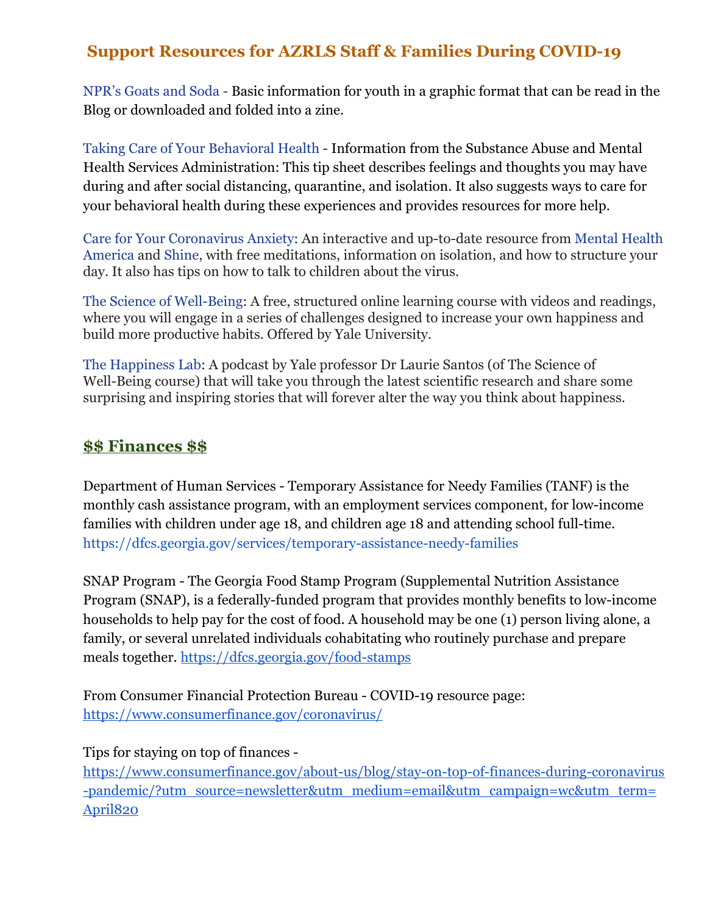[NPR's Goats and Soda](https://www.npr.org/sections/goatsandsoda/2020/02/28/809580453/just-for-kids-a-comic-exploring-the-new-coronavirus) - Basic information for youth in a graphic format that can be read in the Blog or downloaded and folded into a zine.

[Taking Care of Your Behavioral Health](https://www.samhsa.gov/sites/default/files/tips-social-distancing-quarantine-isolation-031620.pdf) - Information from the Substance Abuse and Mental Health Services Administration: This tip sheet describes feelings and thoughts you may have during and after social distancing, quarantine, and isolation. It also suggests ways to care for your behavioral health during these experiences and provides resources for more help.

[Care for Your Coronavirus Anxiety:](https://www.virusanxiety.com/) An interactive and up-to-date resource from [Mental Health](https://www.mhanational.org/) [America](https://www.mhanational.org/) and [Shine](https://join.shinetext.com/), with free meditations, information on isolation, and how to structure your day. It also has tips on how to talk to children about the virus.

[The Science of Well-Being](http://www.coursera.org/learn/the-science-of-well-being): A free, structured online learning course with videos and readings, where you will engage in a series of challenges designed to increase your own happiness and build more productive habits. Offered by Yale University.

[The Happiness Lab](https://www.happinesslab.fm/): A podcast by Yale professor Dr Laurie Santos (of The Science of Well-Being course) that will take you through the latest scientific research and share some surprising and inspiring stories that will forever alter the way you think about happiness.

#### **\$\$ Finances \$\$**

Department of Human Services - Temporary Assistance for Needy Families (TANF) is the monthly cash assistance program, with an employment services component, for low-income families with children under age 18, and children age 18 and attending school full-time. <https://dfcs.georgia.gov/services/temporary-assistance-needy-families>

SNAP Program - The Georgia Food Stamp Program (Supplemental Nutrition Assistance Program ([SNAP](https://www.fns.usda.gov/snap/supplemental-nutrition-assistance-program-snap)), is a federally-funded program that provides monthly benefits to low-income households to help pay for the cost of food. A household may be one (1) person living alone, a family, or several unrelated individuals cohabitating who routinely purchase and prepare meals together. <https://dfcs.georgia.gov/food-stamps>

From Consumer Financial Protection Bureau - COVID-19 resource page: <https://www.consumerfinance.gov/coronavirus/>

Tips for staying on top of finances -

[https://www.consumerfinance.gov/about-us/blog/stay-on-top-of-finances-during-coronavirus](https://www.consumerfinance.gov/about-us/blog/stay-on-top-of-finances-during-coronavirus-pandemic/?utm_source=newsletter&utm_medium=email&utm_campaign=wc&utm_term=April820) [-pandemic/?utm\\_source=newsletter&utm\\_medium=email&utm\\_campaign=wc&utm\\_term=](https://www.consumerfinance.gov/about-us/blog/stay-on-top-of-finances-during-coronavirus-pandemic/?utm_source=newsletter&utm_medium=email&utm_campaign=wc&utm_term=April820) [April820](https://www.consumerfinance.gov/about-us/blog/stay-on-top-of-finances-during-coronavirus-pandemic/?utm_source=newsletter&utm_medium=email&utm_campaign=wc&utm_term=April820)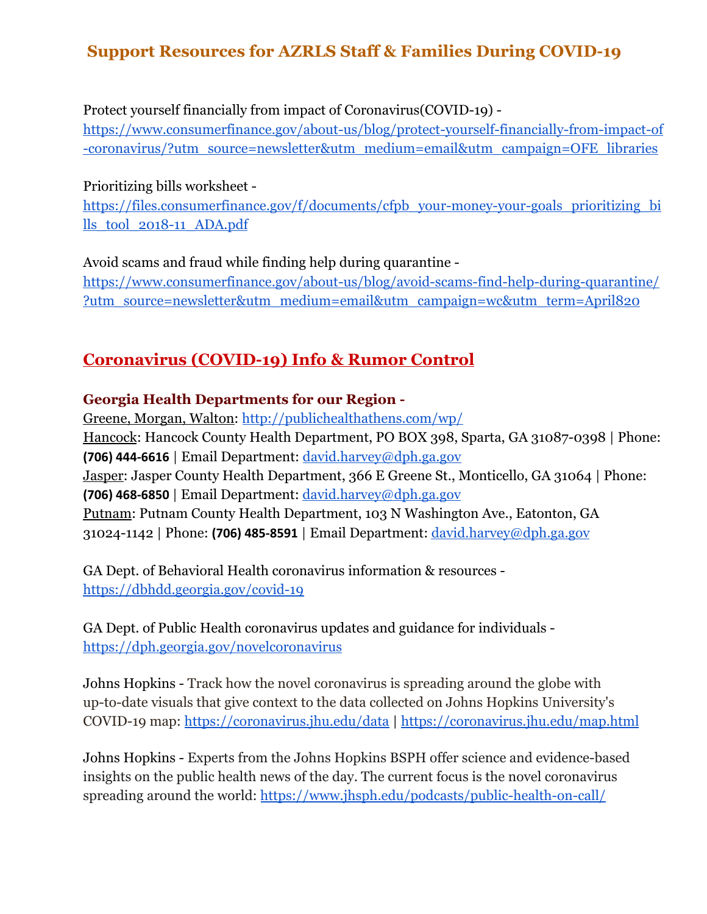Protect yourself financially from impact of Coronavirus(COVID-19) -

[https://www.consumerfinance.gov/about-us/blog/protect-yourself-financially-from-impact-of](https://www.consumerfinance.gov/about-us/blog/protect-yourself-financially-from-impact-of-coronavirus/?utm_source=newsletter&utm_medium=email&utm_campaign=OFE_libraries) [-coronavirus/?utm\\_source=newsletter&utm\\_medium=email&utm\\_campaign=OFE\\_libraries](https://www.consumerfinance.gov/about-us/blog/protect-yourself-financially-from-impact-of-coronavirus/?utm_source=newsletter&utm_medium=email&utm_campaign=OFE_libraries)

Prioritizing bills worksheet [https://files.consumerfinance.gov/f/documents/cfpb\\_your-money-your-goals\\_prioritizing\\_bi](https://files.consumerfinance.gov/f/documents/cfpb_your-money-your-goals_prioritizing_bills_tool_2018-11_ADA.pdf) [lls\\_tool\\_2018-11\\_ADA.pdf](https://files.consumerfinance.gov/f/documents/cfpb_your-money-your-goals_prioritizing_bills_tool_2018-11_ADA.pdf)

Avoid scams and fraud while finding help during quarantine [https://www.consumerfinance.gov/about-us/blog/avoid-scams-find-help-during-quarantine/](https://www.consumerfinance.gov/about-us/blog/avoid-scams-find-help-during-quarantine/?utm_source=newsletter&utm_medium=email&utm_campaign=wc&utm_term=April820) [?utm\\_source=newsletter&utm\\_medium=email&utm\\_campaign=wc&utm\\_term=April820](https://www.consumerfinance.gov/about-us/blog/avoid-scams-find-help-during-quarantine/?utm_source=newsletter&utm_medium=email&utm_campaign=wc&utm_term=April820)

# **Coronavirus (COVID-19) Info & Rumor Control**

#### **Georgia Health Departments for our Region -**

Greene, Morgan, Walton: <http://publichealthathens.com/wp/> Hancock: Hancock County Health Department, PO BOX 398, Sparta, GA 31087-0398 | Phone: **(706) 444-6616** | Email Department: [david.harvey@dph.ga.gov](mailto:david.harvey@dph.ga.gov) Jasper: Jasper County Health Department, 366 E Greene St., Monticello, GA 31064 | Phone: **(706) 468-6850** | Email Department: [david.harvey@dph.ga.gov](mailto:david.harvey@dph.ga.gov) Putnam: Putnam County Health Department, 103 N Washington Ave., Eatonton, GA 31024-1142 | Phone: **(706) 485-8591** | Email Department: [david.harvey@dph.ga.gov](mailto:david.harvey@dph.ga.gov)

GA Dept. of Behavioral Health coronavirus information & resources <https://dbhdd.georgia.gov/covid-19>

GA Dept. of Public Health coronavirus updates and guidance for individuals <https://dph.georgia.gov/novelcoronavirus>

Johns Hopkins - Track how the novel coronavirus is spreading around the globe with up-to-date visuals that give context to the data collected on Johns Hopkins University's COVID-19 map: <https://coronavirus.jhu.edu/data>|<https://coronavirus.jhu.edu/map.html>

Johns Hopkins - Experts from the Johns Hopkins BSPH offer science and evidence-based insights on the public health news of the day. The current focus is the novel coronavirus spreading around the world: <https://www.jhsph.edu/podcasts/public-health-on-call/>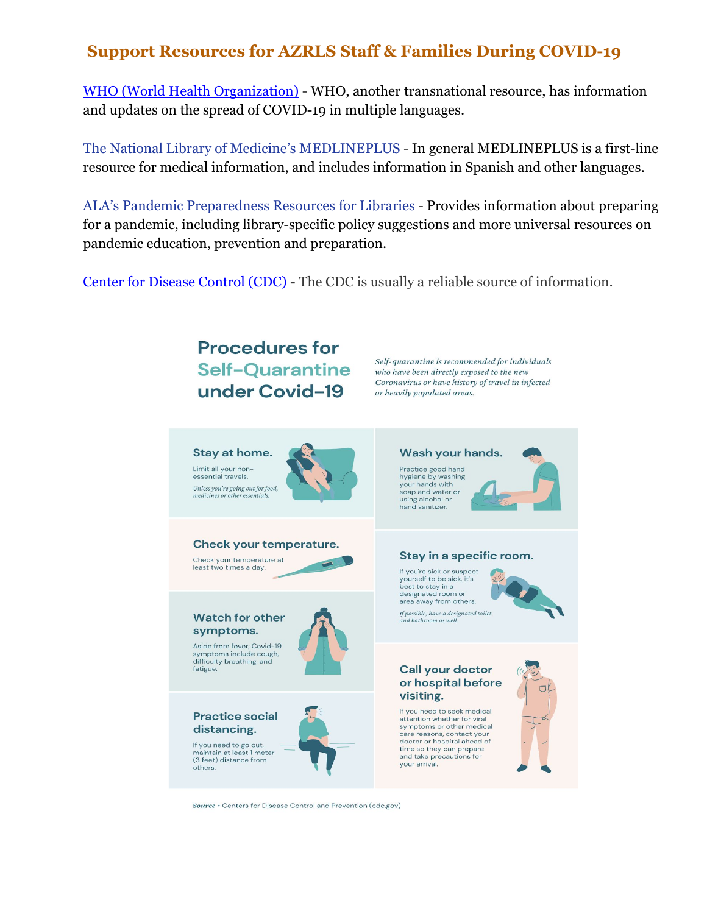[WHO \(World Health Organization\)](https://www.who.int/emergencies/diseases/novel-coronavirus-2019) - WHO, another transnational resource, has information and updates on the spread of COVID-19 in multiple languages.

[The National Library of Medicine's MEDLINEPLUS](https://medlineplus.gov/spanish/ency/article/007768.htm) - In general MEDLINEPLUS is a first-line resource for medical information, and includes information in Spanish and other languages.

[ALA's Pandemic Preparedness Resources for Libraries](http://www.ala.org/tools/atoz/pandemic-preparedness) - Provides information about preparing for a pandemic, including library-specific policy suggestions and more universal resources on pandemic education, prevention and preparation.

[Center for Disease Control \(CDC\)](https://www.cdc.gov/coronavirus/2019-ncov/index.html) **-** The CDC is usually a reliable source of information.

# **Procedures for Self-Quarantine** under Covid-19

Self-quarantine is recommended for individuals who have been directly exposed to the new Coronavirus or have history of travel in infected or heavily populated areas.



Source • Centers for Disease Control and Prevention (cdc.gov)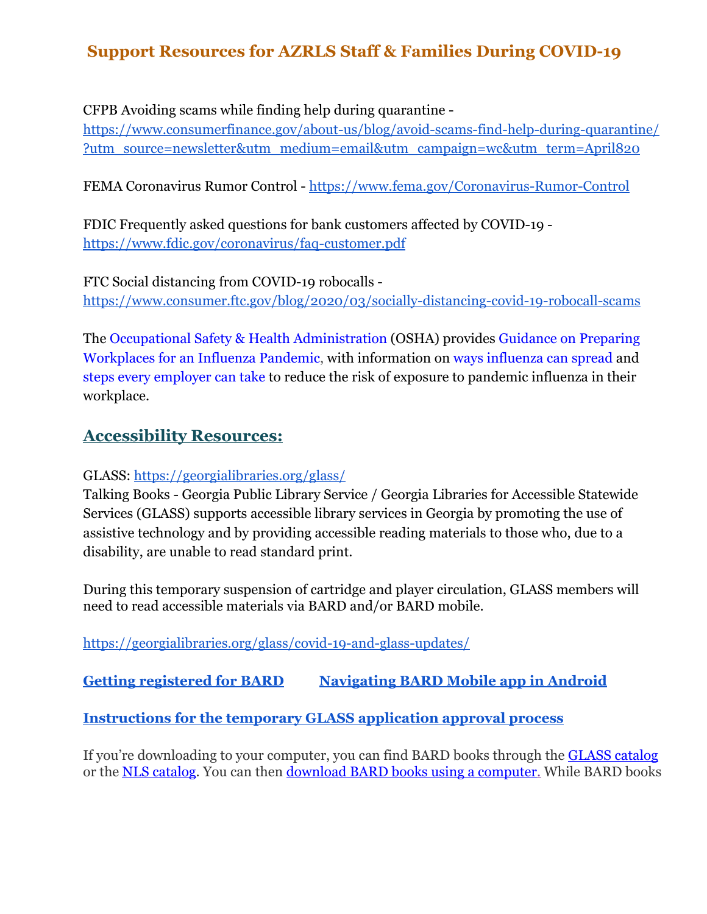CFPB Avoiding scams while finding help during quarantine -

[https://www.consumerfinance.gov/about-us/blog/avoid-scams-find-help-during-quarantine/](https://www.consumerfinance.gov/about-us/blog/avoid-scams-find-help-during-quarantine/?utm_source=newsletter&utm_medium=email&utm_campaign=wc&utm_term=April820) [?utm\\_source=newsletter&utm\\_medium=email&utm\\_campaign=wc&utm\\_term=April820](https://www.consumerfinance.gov/about-us/blog/avoid-scams-find-help-during-quarantine/?utm_source=newsletter&utm_medium=email&utm_campaign=wc&utm_term=April820)

FEMA Coronavirus Rumor Control - <https://www.fema.gov/Coronavirus-Rumor-Control>

FDIC Frequently asked questions for bank customers affected by COVID-19 <https://www.fdic.gov/coronavirus/faq-customer.pdf>

FTC Social distancing from COVID-19 robocalls h[ttps://www.consumer.ftc.gov/blog/2020/03/socially-distancing-covid-19-robocall-scams](https://www.consumer.ftc.gov/blog/2020/03/socially-distancing-covid-19-robocall-scams)

The [Occupational Safety & Health Administration](https://www.osha.gov/) (OSHA) provides [Guidance on Preparing](http://www.osha.gov/Publications/influenza_pandemic.html) [Workplaces for an Influenza Pandemic,](http://www.osha.gov/Publications/influenza_pandemic.html) with information on [ways influenza can spread](https://www.osha.gov/Publications/influenza_pandemic.html#spread_between_people) and [steps every employer can take](https://www.osha.gov/Publications/influenza_pandemic.html#steps_employers_can_take) to reduce the risk of exposure to pandemic influenza in their workplace.

#### **Accessibility Resources:**

GLASS:<https://georgialibraries.org/glass/>

Talking Books - Georgia Public Library Service / Georgia Libraries for Accessible Statewide Services (GLASS) supports accessible library services in Georgia by promoting the use of assistive technology and by providing accessible reading materials to those who, due to a disability, are unable to read standard print.

During this temporary suspension of cartridge and player circulation, GLASS members will need to read accessible materials via BARD and/or BARD mobile.

<https://georgialibraries.org/glass/covid-19-and-glass-updates/>

**[Getting registered for BARD](https://youtu.be/19d47ZTAYbI) [Navigating BARD Mobile app in Android](https://youtu.be/146z3pSGMwg)**

**[Instructions for the temporary GLASS application approval process](http://web-extract.constantcontact.com/v1/social_annotation_v2?permalink_uri=https%3A%2F%2Fmyemail.constantcontact.com%2FGLASS-and-COVID-19.html%3Fsoid%3D1127131791023%26aid%3D2PBPz4iBjCo&image_url=https%3A%2F%2Fmlsvc01-prod.s3.amazonaws.com%2Ffae3a4e6601%2F71fe9d1e-7a67-48eb-b4eb-c17574674ce5.jpg%3Fver%3D1586187632000&fbclid=IwAR2qb96hMYDVMOjAps3Ck-KdtKeBSXMg-WoGwHxJTlmcwnthgQUUcqVbCDA)**

If you're downloading to your computer, you can find BARD books through the **[GLASS catalog](https://webopac.klas.com/ga1aopac/index.jsf)** or the **NLS catalog**. You can then **download BARD** books using a computer. While BARD books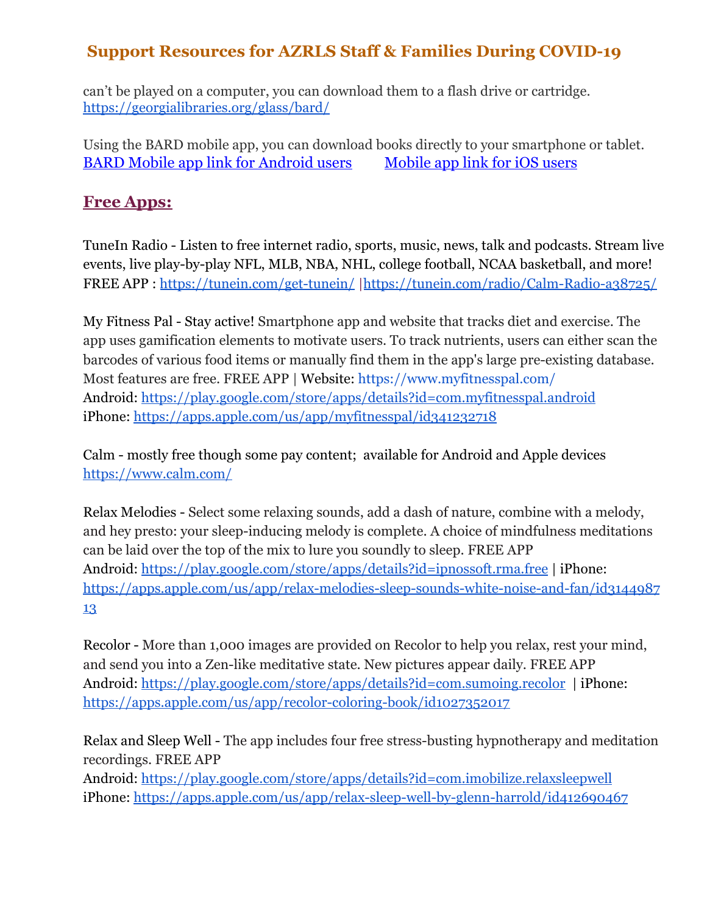can't be played on a computer, you can download them to a flash drive or cartridge. <https://georgialibraries.org/glass/bard/>

Using the BARD mobile app, you can download books directly to your smartphone or tablet. BARD Mobile app link for [Android](https://play.google.com/store/apps/details?id=gov.loc.nls.dtb&hl=en) users [Mobile](https://itunes.apple.com/us/app/bard-mobile/id705229586?mt=8) app link for iOS users

### **Free Apps:**

TuneIn Radio - Listen to free internet radio, sports, music, news, talk and podcasts. Stream live events, live play-by-play NFL, MLB, NBA, NHL, college football, NCAA basketball, and more! FREE APP : <https://tunein.com/get-tunein/>|<https://tunein.com/radio/Calm-Radio-a38725/>

My Fitness Pal - Stay active! Smartphone app and website that tracks diet and exercise. The app uses gamification elements to motivate users. To track nutrients, users can either scan the barcodes of various food items or manually find them in the app's large pre-existing database. Most features are free. FREE APP | Website:<https://www.myfitnesspal.com/> Android:<https://play.google.com/store/apps/details?id=com.myfitnesspal.android> iPhone: <https://apps.apple.com/us/app/myfitnesspal/id341232718>

Calm - mostly free though some pay content; available for Android and Apple devices <https://www.calm.com/>

Relax Melodies - Select some relaxing sounds, add a dash of nature, combine with a melody, and hey presto: your sleep-inducing melody is complete. A choice of mindfulness meditations can be laid over the top of the mix to lure you soundly to sleep. FREE APP Android:<https://play.google.com/store/apps/details?id=ipnossoft.rma.free>| iPhone: h[ttps://apps.apple.com/us/app/relax-melodies-sleep-sounds-white-noise-and-fan/id3144987](https://apps.apple.com/us/app/relax-melodies-sleep-sounds-white-noise-and-fan/id314498713) [13](https://apps.apple.com/us/app/relax-melodies-sleep-sounds-white-noise-and-fan/id314498713)

Recolor - More than 1,000 images are provided on Recolor to help you relax, rest your mind, and send you into a Zen-like meditative state. New pictures appear daily. FREE APP Android:<https://play.google.com/store/apps/details?id=com.sumoing.recolor>| iPhone: <https://apps.apple.com/us/app/recolor-coloring-book/id1027352017>

Relax and Sleep Well - The app includes four free stress-busting hypnotherapy and meditation recordings. FREE APP

Android:<https://play.google.com/store/apps/details?id=com.imobilize.relaxsleepwell> iPhone: <https://apps.apple.com/us/app/relax-sleep-well-by-glenn-harrold/id412690467>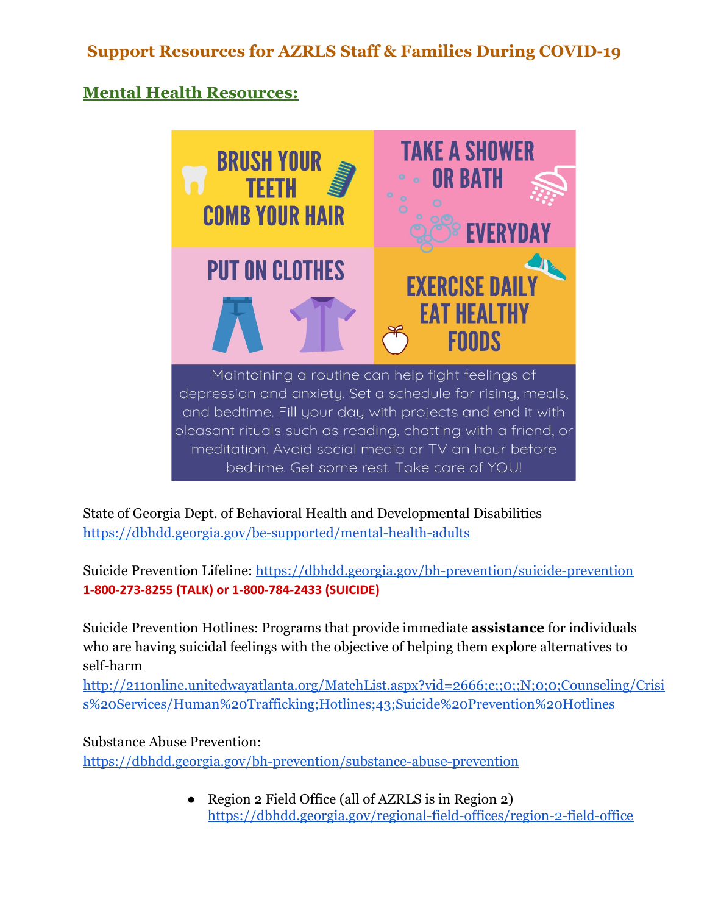# **Mental Health Resources:**



State of Georgia Dept. of Behavioral Health and Developmental Disabilities <https://dbhdd.georgia.gov/be-supported/mental-health-adults>

Suicide Prevention Lifeline: <https://dbhdd.georgia.gov/bh-prevention/suicide-prevention> **1-800-273-8255 (TALK) or 1-800-784-2433 (SUICIDE)**

Suicide Prevention Hotlines: Programs that provide immediate **assistance** for individuals who are having suicidal feelings with the objective of helping them explore alternatives to self-harm

[http://211online.unitedwayatlanta.org/MatchList.aspx?vid=2666;c;;0;;N;0;0;Counseling/Crisi](http://211online.unitedwayatlanta.org/MatchList.aspx?vid=2666;c;;0;;N;0;0;Counseling/Crisis%20Services/Human%20Trafficking;Hotlines;43;Suicide%20Prevention%20Hotlines) [s%20Services/Human%20Trafficking;Hotlines;43;Suicide%20Prevention%20Hotlines](http://211online.unitedwayatlanta.org/MatchList.aspx?vid=2666;c;;0;;N;0;0;Counseling/Crisis%20Services/Human%20Trafficking;Hotlines;43;Suicide%20Prevention%20Hotlines)

Substance Abuse Prevention: <https://dbhdd.georgia.gov/bh-prevention/substance-abuse-prevention>

> • Region 2 Field Office (all of AZRLS is in Region 2) <https://dbhdd.georgia.gov/regional-field-offices/region-2-field-office>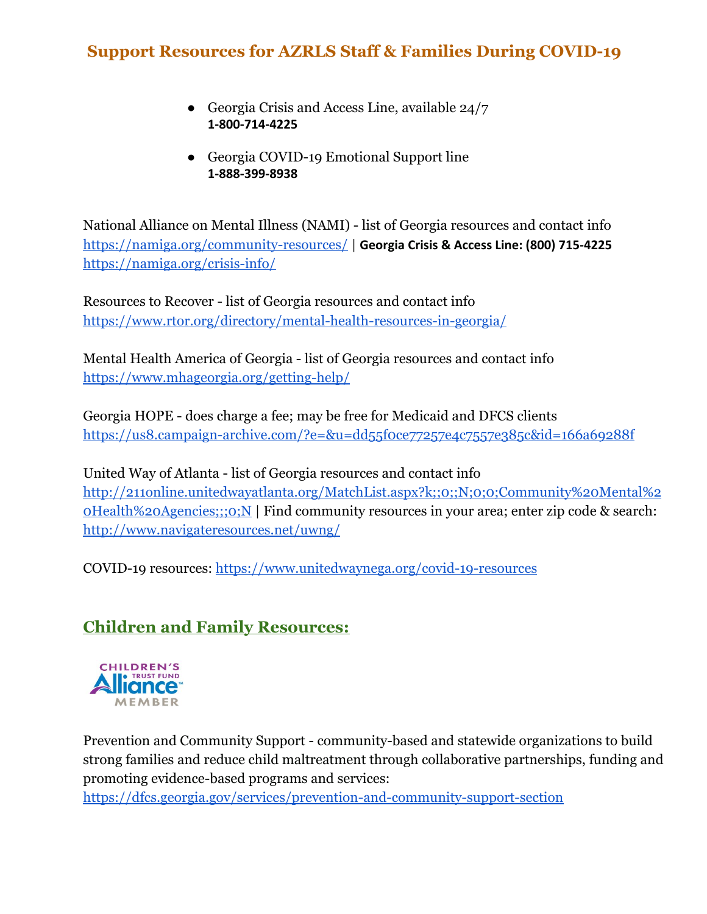- Georgia Crisis and Access Line, available 24/7 **1-800-714-4225**
- Georgia COVID-19 Emotional Support line **1-888-399-8938**

National Alliance on Mental Illness (NAMI) - list of Georgia resources and contact info <https://namiga.org/community-resources/>| **Georgia Crisis & Access Line: (800) 715-4225** <https://namiga.org/crisis-info/>

Resources to Recover - list of Georgia resources and contact info <https://www.rtor.org/directory/mental-health-resources-in-georgia/>

Mental Health America of Georgia - list of Georgia resources and contact info <https://www.mhageorgia.org/getting-help/>

Georgia HOPE - does charge a fee; may be free for Medicaid and DFCS clients ht[tps://us8.campaign-archive.com/?e=&u=dd55f0ce77257e4c7557e385c&id=166a69288f](https://us8.campaign-archive.com/?e=&u=dd55f0ce77257e4c7557e385c&id=166a69288f)

United Way of Atlanta - list of Georgia resources and contact info [http://211online.unitedwayatlanta.org/MatchList.aspx?k;;0;;N;0;0;Community%20Mental%2](http://211online.unitedwayatlanta.org/MatchList.aspx?k;;0;;N;0;0;Community%20Mental%20Health%20Agencies;;;0;N) [0Health%20Agencies;;;0;N](http://211online.unitedwayatlanta.org/MatchList.aspx?k;;0;;N;0;0;Community%20Mental%20Health%20Agencies;;;0;N) | Find community resources in your area; enter zip code & search: <http://www.navigateresources.net/uwng/>

COVID-19 resources: <https://www.unitedwaynega.org/covid-19-resources>

# **Children and Family Resources:**



Prevention and Community Support - community-based and statewide organizations to build strong families and reduce child maltreatment through collaborative partnerships, funding and promoting evidence-based programs and services:

<https://dfcs.georgia.gov/services/prevention-and-community-support-section>